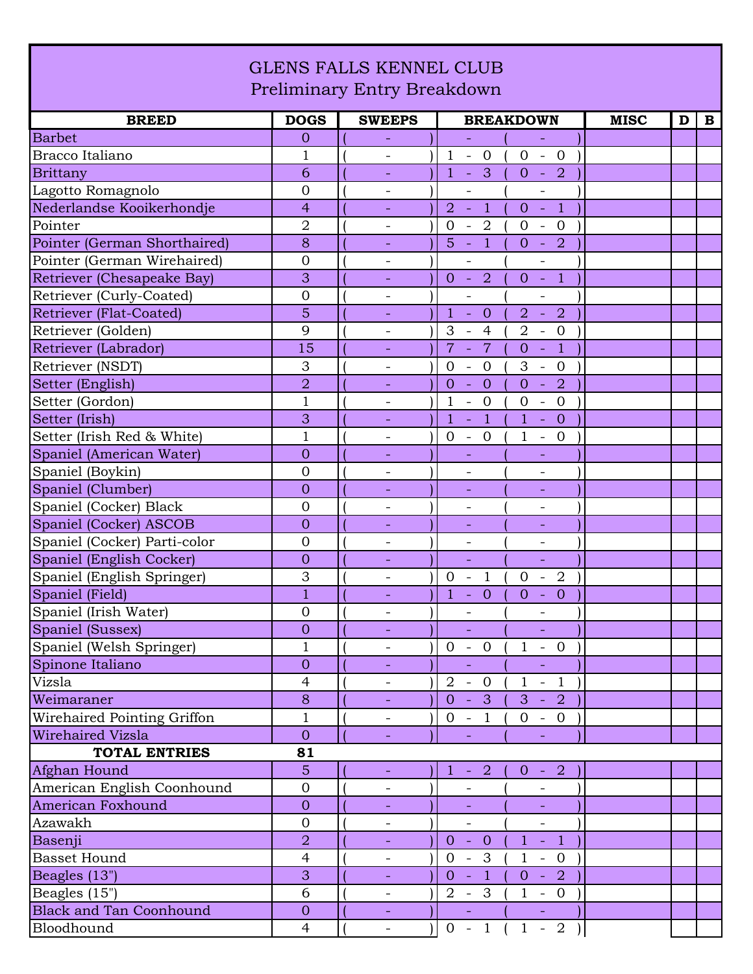## GLENS FALLS KENNEL CLUB Preliminary Entry Breakdown

| <b>BREED</b>                   | <b>DOGS</b>    | <b>SWEEPS</b>            | <b>BREAKDOWN</b>                                                                                                         | <b>MISC</b><br>$\mathbf{B}$<br>D |
|--------------------------------|----------------|--------------------------|--------------------------------------------------------------------------------------------------------------------------|----------------------------------|
| <b>Barbet</b>                  | $\overline{0}$ |                          | $\equiv$<br>$\equiv$                                                                                                     |                                  |
| Bracco Italiano                | $\mathbf 1$    |                          | $\mathbf{1}$<br>$-0$<br>$-0$<br>$\overline{0}$                                                                           |                                  |
| <b>Brittany</b>                | 6              | $\overline{\phantom{a}}$ | $\mathbf{1}$<br>$\overline{\mathbf{3}}$<br>$\overline{O}$<br>$-2$<br>$\blacksquare$                                      |                                  |
| Lagotto Romagnolo              | $\overline{0}$ |                          | $\overline{a}$                                                                                                           |                                  |
| Nederlandse Kooikerhondje      | $\overline{4}$ |                          | $\overline{2}$<br>$\overline{1}$<br>$\overline{1}$<br>$\equiv$<br>$\overline{0}$<br>$\sim$ $-$                           |                                  |
| Pointer                        | $\overline{2}$ | $\overline{\phantom{a}}$ | $\overline{2}$<br>$\mathbf{0}$<br>$\mathbf{0}$<br>$\overline{0}$<br>$\overline{\phantom{a}}$<br>$\overline{\phantom{a}}$ |                                  |
| Pointer (German Shorthaired)   | 8              |                          | $\mathbf{1}$<br>$\overline{2}$<br>5<br>$\overline{0}$<br>$\equiv$<br>$\sim$                                              |                                  |
| Pointer (German Wirehaired)    | $\overline{0}$ |                          | $\overline{\phantom{0}}$<br>$\overline{\phantom{0}}$                                                                     |                                  |
| Retriever (Chesapeake Bay)     | 3              | $\equiv$                 | $\overline{2}$<br>$\overline{0}$<br>$\overline{1}$<br>$0 -$<br>$\sim$                                                    |                                  |
| Retriever (Curly-Coated)       | $\overline{0}$ | $\overline{\phantom{a}}$ | $\overline{a}$<br>$\overline{a}$                                                                                         |                                  |
| <b>Retriever (Flat-Coated)</b> | 5              | $\overline{\phantom{a}}$ | $\mathbf{1}$<br>$\overline{0}$<br>$\overline{a}$<br>$\overline{2}$<br>$\mathbb{Z}$<br>$\blacksquare$                     |                                  |
| Retriever (Golden)             | 9              | $\qquad \qquad -$        | $\overline{2}$<br>3<br>$\overline{4}$<br>$\overline{0}$<br>$\overline{\phantom{a}}$<br>$\equiv$                          |                                  |
| Retriever (Labrador)           | 15             |                          | $\overline{7}$<br>$\overline{7}$<br>$\overline{1}$<br>$\overline{0}$<br>$\mathcal{L}_{\mathcal{A}}$<br>$\Box$            |                                  |
| Retriever (NSDT)               | 3              | $\overline{\phantom{a}}$ | $\overline{0}$<br>$\mathbf{0}$<br>3<br>$\overline{0}$<br>$\mathcal{L}_{\mathcal{A}}$<br>$\overline{\phantom{a}}$         |                                  |
| Setter (English)               | $\overline{2}$ |                          | $\overline{2}$<br>$\overline{0}$<br>$\overline{0}$<br>$\overline{0}$<br>$\equiv$<br>$\mathbb{Z}$                         |                                  |
| Setter (Gordon)                | $\mathbf{1}$   | $\overline{\phantom{a}}$ | $\mathbf{1}$<br>$- 0$<br>$\overline{0}$<br>$\mathbf{0}$<br>$\overline{\phantom{0}}$                                      |                                  |
| Setter (Irish)                 | 3              |                          | $\overline{1}$<br>$\mathbf{1}$<br>$\mathbf{1}$<br>$\overline{0}$<br>$\equiv$<br>$\omega_{\rm c}$                         |                                  |
| Setter (Irish Red & White)     | $\mathbf{1}$   | $\overline{\phantom{a}}$ | $- 0$<br>$\overline{0}$<br>1<br>$-0$                                                                                     |                                  |
| Spaniel (American Water)       | $\overline{0}$ | $\blacksquare$           | $\equiv$<br>$\blacksquare$                                                                                               |                                  |
| Spaniel (Boykin)               | $\overline{0}$ | $\overline{\phantom{a}}$ |                                                                                                                          |                                  |
| Spaniel (Clumber)              | $\overline{0}$ | Ξ                        | ÷,                                                                                                                       |                                  |
| Spaniel (Cocker) Black         | $\overline{0}$ | $\overline{\phantom{a}}$ | $\overline{\phantom{a}}$<br>$\overline{\phantom{a}}$                                                                     |                                  |
| Spaniel (Cocker) ASCOB         | $\overline{0}$ | $\overline{\phantom{a}}$ |                                                                                                                          |                                  |
| Spaniel (Cocker) Parti-color   | $\overline{0}$ | $\overline{\phantom{a}}$ | $\overline{\phantom{a}}$<br>$\qquad \qquad -$                                                                            |                                  |
| Spaniel (English Cocker)       | $\overline{0}$ |                          | $\Box$<br>÷.                                                                                                             |                                  |
| Spaniel (English Springer)     | 3              | $\qquad \qquad -$        | $\overline{0}$<br>$\overline{2}$<br>$\mathbf{1}$<br>$\mathbf{0}$<br>$\overline{\phantom{a}}$<br>$\overline{\phantom{a}}$ |                                  |
| Spaniel (Field)                | $\overline{1}$ | $\overline{\phantom{a}}$ | $\overline{0}$<br>$\overline{0}$<br>1<br>$\overline{0}$<br>$\equiv$<br>$\equiv$                                          |                                  |
| Spaniel (Irish Water)          | $\overline{0}$ |                          |                                                                                                                          |                                  |
| Spaniel (Sussex)               | $\overline{0}$ |                          |                                                                                                                          |                                  |
| Spaniel (Welsh Springer)       | $\mathbf{1}$   | $\overline{\phantom{a}}$ | $\mathbf{0}$<br>$\overline{0}$<br>$\mathbf{1}$<br>$\overline{0}$<br>$\overline{\phantom{a}}$<br>$\overline{\phantom{a}}$ |                                  |
| Spinone Italiano               | $\overline{0}$ |                          |                                                                                                                          |                                  |
| Vizsla                         | $\overline{4}$ | $\overline{\phantom{a}}$ | $2 -$<br>$\overline{0}$<br>$\mathbf{1}$<br>$-1$                                                                          |                                  |
| Weimaraner                     | 8              |                          | $0 - 3$<br>$3 - 2$                                                                                                       |                                  |
| Wirehaired Pointing Griffon    | $\mathbf{1}$   |                          | $0 - 1$<br>$0 - 0$                                                                                                       |                                  |
| <b>Wirehaired Vizsla</b>       | $\overline{0}$ | $\equiv$                 | ÷.<br>$\equiv$                                                                                                           |                                  |
| <b>TOTAL ENTRIES</b>           | 81             |                          |                                                                                                                          |                                  |
| Afghan Hound                   | $\overline{5}$ |                          | $-2$<br>$-2$<br>$\mathbf{1}$<br>$\overline{0}$                                                                           |                                  |
| American English Coonhound     | $\mathbf{0}$   |                          |                                                                                                                          |                                  |
| American Foxhound              | $\overline{0}$ |                          |                                                                                                                          |                                  |
| Azawakh                        | $\mathbf 0$    | $\overline{\phantom{a}}$ | $\overline{\phantom{a}}$<br>$\overline{\phantom{0}}$                                                                     |                                  |
| Basenji                        | $\overline{2}$ |                          | $\mathbf{1}$<br>$-1$<br>$0 - 0$                                                                                          |                                  |
| <b>Basset Hound</b>            | $\overline{4}$ |                          | $0 - 3$<br>$1 - 0$                                                                                                       |                                  |
| Beagles (13")                  | 3              | $\overline{\phantom{a}}$ | $0 - 1$<br>$0 - 2$                                                                                                       |                                  |
| Beagles (15")                  | 6              | $\overline{\phantom{a}}$ | $2 - 3$<br>$1 - 0$                                                                                                       |                                  |
| <b>Black and Tan Coonhound</b> | $\overline{O}$ | $\equiv$                 | $\blacksquare$<br>$\equiv$                                                                                               |                                  |
| Bloodhound                     | $\overline{4}$ |                          | $0 - 1$<br>$1 - 2$<br>$\big)$                                                                                            |                                  |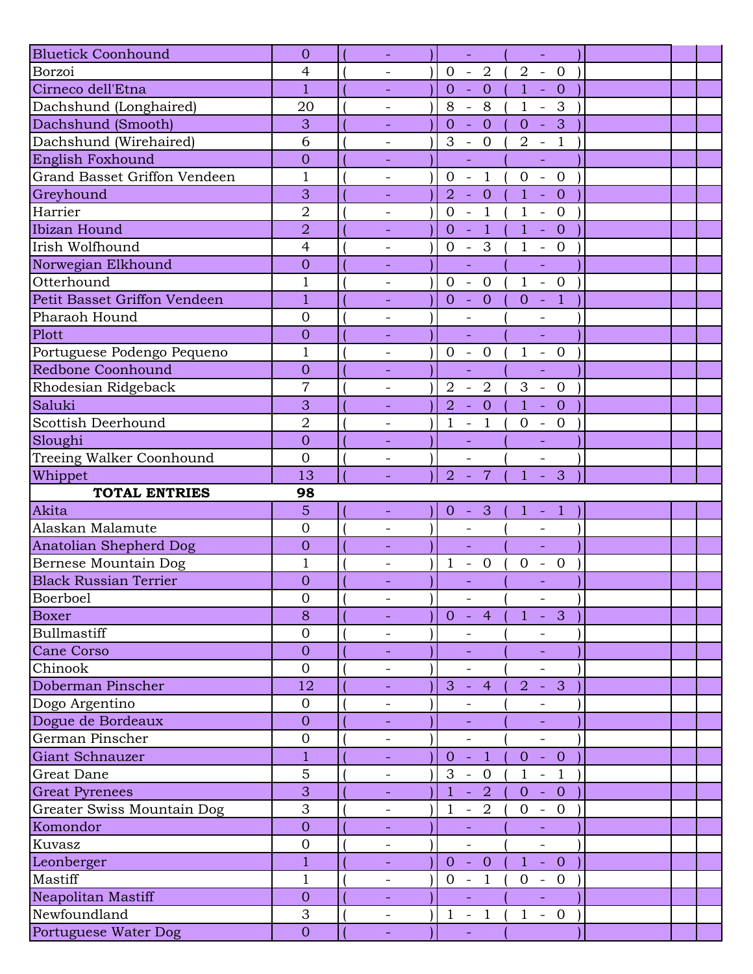| <b>Bluetick Coonhound</b>     | $\overline{0}$   |                          | $\Box$                                                          | $\mathbb{L}^2$                                             |  |
|-------------------------------|------------------|--------------------------|-----------------------------------------------------------------|------------------------------------------------------------|--|
| Borzoi                        | 4                |                          | $-2$<br>$\overline{0}$                                          | $\overline{2}$<br>$-0$                                     |  |
| Cirneco dell'Etna             | 1                | $\overline{\phantom{a}}$ | $\overline{0}$<br>$\mathbf{0}$<br>$\sim$                        | $\mathbf{1}$<br>$\overline{0}$<br>$\sim$                   |  |
| Dachshund (Longhaired)        | 20               |                          | 8<br>8<br>$\mathbb{L}$                                          | $\mathbf{1}$<br>3<br>$\mathbb{L}$                          |  |
| Dachshund (Smooth)            | 3                |                          | $\overline{0}$<br>$\overline{0}$<br>$\omega$                    | $-3$<br>$\overline{O}$                                     |  |
| Dachshund (Wirehaired)        | 6                | $\overline{\phantom{a}}$ | 3<br>$-0$                                                       | $\overline{2}$<br>$-1$                                     |  |
| English Foxhound              | $\overline{0}$   |                          | $\Box$                                                          | ÷,                                                         |  |
| Grand Basset Griffon Vendeen  | $\mathbf{1}$     | $\overline{\phantom{a}}$ | $\Box$<br>$\mathbf{1}$<br>$\mathbf{0}$                          | $\mathbf{0}$<br>$\mathbb{Z}^2$<br>$\overline{0}$           |  |
| Greyhound                     | 3                |                          | $\overline{2}$<br>$\overline{0}$<br>$\Box$                      | $\mathbf{1}$<br>$\overline{0}$<br>L,                       |  |
| Harrier                       | $\overline{2}$   | $\overline{\phantom{a}}$ | $\overline{0}$<br>$\overline{1}$<br>$\mathcal{L}_{\mathcal{A}}$ | $\mathbf{1}$<br>$-0$                                       |  |
| Ibizan Hound                  | $\overline{2}$   | $\equiv$                 | $-1$<br>$\overline{0}$                                          | $1 -$<br>$\overline{0}$                                    |  |
| Irish Wolfhound               | $\overline{4}$   | $\qquad \qquad -$        | $\overline{0}$<br>3<br>$\mathcal{L}_{\mathcal{A}}$              | $\mathbf{1}$<br>$\overline{0}$<br>$\pm$                    |  |
| Norwegian Elkhound            | $\overline{0}$   |                          | $\Box$                                                          | $\blacksquare$                                             |  |
| Otterhound                    | $\mathbf 1$      | $\overline{\phantom{a}}$ | $\mathbf{0}$<br>$\overline{0}$<br>$\mathcal{L}_{\mathcal{A}}$   | $\mathbf{1}$<br>$-0$                                       |  |
| Petit Basset Griffon Vendeen  | $\mathbf{1}$     |                          | $-0$<br>$\overline{0}$                                          | $-1$<br>$\overline{0}$                                     |  |
| Pharaoh Hound                 | $\overline{0}$   | $\overline{\phantom{a}}$ | $\qquad \qquad -$                                               | $\overline{\phantom{a}}$                                   |  |
| Plott                         | $\overline{0}$   |                          | u,                                                              | $\equiv$                                                   |  |
| Portuguese Podengo Pequeno    | $\mathbf 1$      | $\overline{\phantom{0}}$ | $0 - 0$                                                         | $1 - 0$                                                    |  |
| Redbone Coonhound             | $\overline{0}$   | $\overline{\phantom{a}}$ | ÷,                                                              | $\Box$                                                     |  |
| Rhodesian Ridgeback           | $\overline{7}$   | $\overline{\phantom{0}}$ | $\overline{2}$<br>$\overline{2}$<br>$\overline{\phantom{a}}$    | 3<br>$\overline{0}$<br>$\sim$                              |  |
| Saluki                        | 3                |                          | $\overline{0}$<br>$\overline{2}$<br>$\mathbb{H}^2$              | $1 - 0$                                                    |  |
| Scottish Deerhound            | $\overline{2}$   |                          | $\mathbf{1}$<br>$\mathbf{1}$<br>$\bar{\phantom{a}}$             | $-0$<br>$\boldsymbol{0}$                                   |  |
| Sloughi                       | $\overline{0}$   | $\equiv$                 | $\equiv$                                                        | ÷.                                                         |  |
| Treeing Walker Coonhound      | $\overline{0}$   | $\overline{\phantom{a}}$ | $\overline{\phantom{a}}$                                        | $\overline{\phantom{a}}$                                   |  |
| Whippet                       | 13               |                          | $\overline{2}$<br>$\overline{7}$<br>$\equiv$                    | 3<br>$\mathbf{1}$<br>$\equiv$                              |  |
|                               |                  |                          |                                                                 |                                                            |  |
| <b>TOTAL ENTRIES</b>          | 98               |                          |                                                                 |                                                            |  |
| Akita                         | 5                |                          | $\overline{0}$<br>$-3$                                          | $\mathbf{1}$<br>$-1$                                       |  |
| Alaskan Malamute              | $\overline{0}$   | $\overline{\phantom{a}}$ |                                                                 |                                                            |  |
| <b>Anatolian Shepherd Dog</b> | $\overline{0}$   |                          | ÷,                                                              | ÷,                                                         |  |
| Bernese Mountain Dog          | $\mathbf{1}$     |                          | $\mathbf{1}$<br>$\overline{0}$<br>$\overline{\phantom{a}}$      | $\overline{0}$<br>$\overline{0}$<br>$\sim$                 |  |
| <b>Black Russian Terrier</b>  | $\overline{0}$   |                          |                                                                 |                                                            |  |
| Boerboel                      | $\boldsymbol{0}$ | $\overline{\phantom{a}}$ | $\blacksquare$                                                  | $\overline{\phantom{a}}$                                   |  |
| <b>Boxer</b>                  | 8                |                          | $\overline{0}$<br>$\overline{4}$<br>$\sim$                      | $\overline{3}$<br>$\mathbf{1}$<br>$\equiv$                 |  |
| Bullmastiff                   | $\mathbf 0$      | $\qquad \qquad -$        |                                                                 |                                                            |  |
| Cane Corso                    | $\overline{0}$   |                          |                                                                 |                                                            |  |
| Chinook                       | $\overline{0}$   | $\overline{\phantom{a}}$ | $\overline{a}$                                                  | $\overline{\phantom{0}}$                                   |  |
| Doberman Pinscher             | 12               | $\overline{\phantom{a}}$ | 3<br>$\overline{4}$<br>$\equiv$                                 | 3<br>$\overline{2}$<br>$\equiv$                            |  |
| Dogo Argentino                | $\overline{0}$   | $\overline{\phantom{a}}$ |                                                                 |                                                            |  |
| Dogue de Bordeaux             | $\theta$         |                          |                                                                 |                                                            |  |
| German Pinscher               | $\mathbf 0$      | $\overline{\phantom{a}}$ | $\overline{\phantom{0}}$                                        | $\overline{\phantom{a}}$                                   |  |
| Giant Schnauzer               | $\mathbf{1}$     | $\overline{\phantom{a}}$ | $\mathbf{1}$<br>$\overline{0}$<br>$\sim$                        | $\overline{O}$<br>$-0$                                     |  |
| Great Dane                    | 5                | $\qquad \qquad -$        | 3<br>$\overline{0}$<br>$\overline{\phantom{a}}$                 | $\mathbf{1}$<br>$\overline{1}$<br>$\pm$                    |  |
| <b>Great Pyrenees</b>         | 3                |                          | $\overline{2}$<br>$\mathbf{1}$<br>$\equiv$                      | $\overline{0}$<br>$\overline{0}$<br>$\sim$                 |  |
| Greater Swiss Mountain Dog    | 3                | $\overline{\phantom{a}}$ | 2<br>$\mathbf 1$<br>$\overline{\phantom{a}}$                    | $- 0$<br>$\mathbf{0}$                                      |  |
| Komondor                      | $\theta$         | $\overline{\phantom{a}}$ | $\overline{\phantom{a}}$                                        | $\equiv$                                                   |  |
| Kuvasz                        | $\mathbf 0$      |                          |                                                                 |                                                            |  |
| Leonberger                    | $\mathbf{1}$     |                          | $\overline{0}$<br>$-0$                                          | $1 - 0$                                                    |  |
| Mastiff                       | 1                | $\overline{\phantom{a}}$ | $\overline{0}$<br>$\mathbf{1}$<br>$\overline{\phantom{a}}$      | $\mathbf{0}$<br>$\overline{0}$<br>$\overline{\phantom{a}}$ |  |
| Neapolitan Mastiff            | $\overline{0}$   | $\overline{\phantom{a}}$ | ÷,                                                              |                                                            |  |
| Newfoundland                  | 3                | $\overline{\phantom{a}}$ | $\mathbf{1}$<br>$\mathbf{1}$<br>$\sim$                          | $1 - 0$                                                    |  |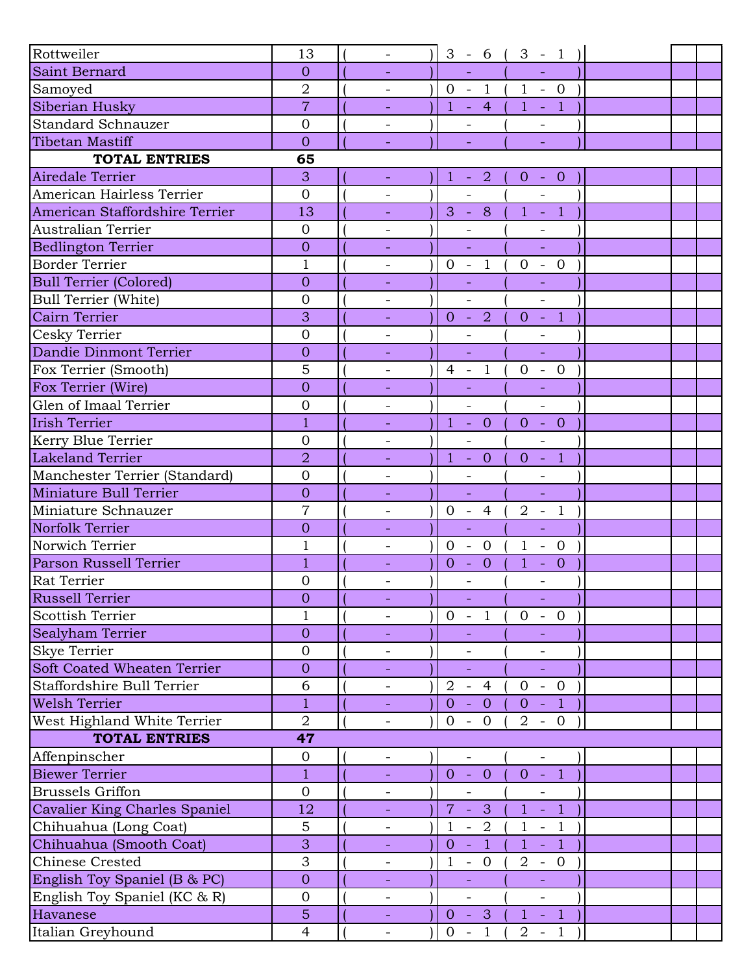| Rottweiler                         | 13             |                          |                | $3 - 6$ (                    |                              | $3 - 1$        |  |  |
|------------------------------------|----------------|--------------------------|----------------|------------------------------|------------------------------|----------------|--|--|
| Saint Bernard                      | $\overline{O}$ |                          |                |                              |                              |                |  |  |
| Samoyed                            | $\overline{2}$ | $\overline{\phantom{a}}$ |                |                              | $0 - 1 (1 - 0$               |                |  |  |
| Siberian Husky                     | $\overline{7}$ |                          |                |                              | $1 - 4 (1 - 1)$              |                |  |  |
| <b>Standard Schnauzer</b>          | $\mathbf{0}$   |                          |                | ÷                            |                              |                |  |  |
| <b>Tibetan Mastiff</b>             | $\overline{0}$ |                          |                |                              |                              |                |  |  |
| <b>TOTAL ENTRIES</b>               | 65             |                          |                |                              |                              |                |  |  |
| Airedale Terrier                   | 3              | $\equiv$                 |                | $1 - 2$                      | $0 - 0$                      |                |  |  |
| American Hairless Terrier          | $\overline{0}$ |                          |                | $\frac{1}{2}$                |                              |                |  |  |
| American Staffordshire Terrier     | 13             |                          |                | $3 - 8$                      | $1 - 1$                      |                |  |  |
| <b>Australian Terrier</b>          | $\mathbf{0}$   |                          |                | $\overline{\phantom{0}}$     |                              |                |  |  |
| <b>Bedlington Terrier</b>          | $\overline{0}$ |                          |                |                              | $\omega$                     |                |  |  |
| <b>Border Terrier</b>              | $\mathbf{1}$   | $\overline{\phantom{a}}$ | $0 -$          | $\mathbf{1}$                 | $\mathbf{0}$<br>$\mathbb{L}$ | $\overline{0}$ |  |  |
| <b>Bull Terrier (Colored)</b>      | $\overline{0}$ |                          |                |                              |                              |                |  |  |
| <b>Bull Terrier (White)</b>        | $\mathbf{0}$   | $\qquad \qquad -$        |                | $\overline{a}$               | $\overline{\phantom{a}}$     |                |  |  |
| Cairn Terrier                      | 3              | $\equiv$                 |                | $0 - 2$                      | $0 - 1$                      |                |  |  |
| Cesky Terrier                      | $\overline{0}$ | $\qquad \qquad -$        |                |                              |                              |                |  |  |
| Dandie Dinmont Terrier             | $\overline{0}$ |                          |                |                              | ÷,                           |                |  |  |
| Fox Terrier (Smooth)               | 5              | $\overline{\phantom{a}}$ | $4 -$          | $\overline{1}$               | $\overline{0}$               | $- 0$          |  |  |
| Fox Terrier (Wire)                 | $\overline{0}$ |                          |                |                              |                              |                |  |  |
| Glen of Imaal Terrier              | $\mathbf{0}$   | $\overline{\phantom{a}}$ |                | $\overline{\phantom{a}}$     | $\overline{\phantom{a}}$     |                |  |  |
| <b>Irish Terrier</b>               | $\mathbf{1}$   |                          |                | $1 - 0$                      | $0 - 0$                      |                |  |  |
| Kerry Blue Terrier                 | $\mathbf{0}$   |                          |                | $\overline{\phantom{0}}$     | $\overline{\phantom{a}}$     |                |  |  |
| <b>Lakeland Terrier</b>            | $\overline{2}$ | $\equiv$                 |                | $1 - 0$                      | $\overline{0}$               | $-1$           |  |  |
| Manchester Terrier (Standard)      | $\overline{0}$ | $\overline{\phantom{a}}$ |                | $\overline{\phantom{0}}$     |                              |                |  |  |
| Miniature Bull Terrier             | $\overline{0}$ | ÷,                       |                | $\Box$                       | $\mathbb{L}$                 |                |  |  |
| Miniature Schnauzer                | $\overline{7}$ |                          |                | $0 - 4($                     | $2 - 1$                      |                |  |  |
| Norfolk Terrier                    | $\overline{0}$ |                          |                | ÷,                           | ÷,                           |                |  |  |
| Norwich Terrier                    | $\mathbf 1$    | $\overline{\phantom{a}}$ | $0 -$          | $\overline{0}$               | $\mathbf{1}$<br>$\sim$       | $\overline{0}$ |  |  |
| Parson Russell Terrier             | $\overline{1}$ |                          | $\overline{0}$ | $\overline{0}$<br>$\sim$ $-$ | $\mathbf{1}$<br>$\omega$     | $\overline{0}$ |  |  |
| Rat Terrier                        | $\mathbf{0}$   |                          |                |                              | $\overline{\phantom{0}}$     |                |  |  |
| Russell Terrier                    | $\theta$       | -                        |                | $\equiv$                     | $\equiv$                     |                |  |  |
| <b>Scottish Terrier</b>            | $\mathbf{1}$   |                          |                | $0 - 1$                      | $\overline{0}$               | $-0$           |  |  |
| Sealyham Terrier                   | $\overline{0}$ |                          |                | $\equiv$                     | $\equiv$                     |                |  |  |
| <b>Skye Terrier</b>                | $\overline{0}$ |                          |                |                              |                              |                |  |  |
| <b>Soft Coated Wheaten Terrier</b> | $\overline{0}$ |                          |                |                              |                              |                |  |  |
| Staffordshire Bull Terrier         | 6              | $\overline{\phantom{a}}$ |                | $2 - 4$                      | $\overline{0}$               | $-0$           |  |  |
| <b>Welsh Terrier</b>               | $\mathbf{1}$   |                          | $0 -$          | $\overline{0}$               | $0 - 1$                      |                |  |  |
| West Highland White Terrier        | $\overline{2}$ |                          | $\overline{0}$ | $-0$                         | $2 - 0$                      |                |  |  |
| <b>TOTAL ENTRIES</b>               | 47             |                          |                |                              |                              |                |  |  |
| Affenpinscher                      | $\mathbf 0$    | $\overline{\phantom{a}}$ |                | $\overline{\phantom{a}}$     | $\overline{\phantom{a}}$     |                |  |  |
| <b>Biewer Terrier</b>              | $\mathbf{1}$   | $\equiv$                 |                | $0 - 0$                      | $0 - 1$                      |                |  |  |
| <b>Brussels Griffon</b>            | $\overline{0}$ |                          |                | $\overline{a}$               | $\overline{a}$               |                |  |  |
| Cavalier King Charles Spaniel      | 12             | $\overline{\phantom{a}}$ |                | $7 - 3$                      | $1 - 1$                      |                |  |  |
|                                    | 5              |                          |                |                              |                              |                |  |  |
| Chihuahua (Long Coat)              |                | $\overline{\phantom{a}}$ | $\mathbf{1}$   | $-2$                         | $\mathbf{1}$                 | $-1$           |  |  |
| Chihuahua (Smooth Coat)            | 3              | $\overline{\phantom{a}}$ | $\overline{0}$ | $\sim$<br>$\overline{1}$     | $\mathbf{1}$                 | $-1$           |  |  |
| <b>Chinese Crested</b>             | 3              | $\qquad \qquad -$        | $\mathbf{1}$   | $\overline{0}$<br>$\equiv$   | $\overline{2}$               | $-0$           |  |  |
| English Toy Spaniel (B & PC)       | $\overline{0}$ |                          |                |                              |                              |                |  |  |
| English Toy Spaniel (KC & R)       | $\mathbf{0}$   | $\overline{\phantom{a}}$ |                |                              |                              |                |  |  |
| Havanese                           | 5              | $\sim$                   |                | $0 - 3$                      | $1 - 1$                      |                |  |  |
| Italian Greyhound                  | $\overline{4}$ | $\qquad \qquad -$        | $0 -$          | $\mathbf{1}$                 | $2 - 1$                      |                |  |  |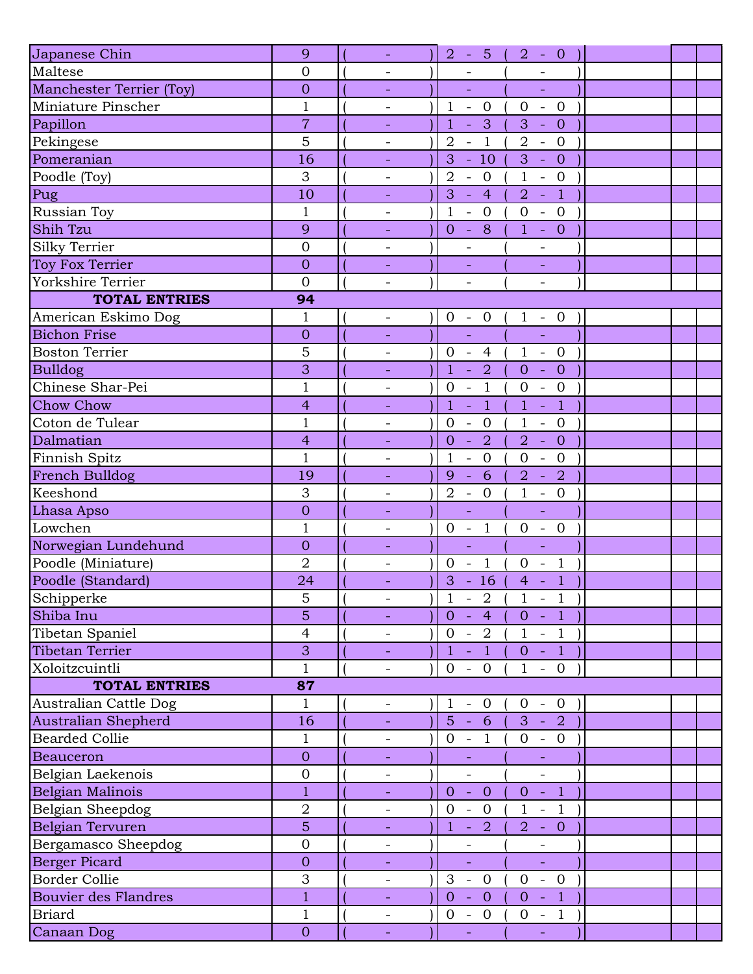| Japanese Chin                   | 9                | $\omega$                 | $2 - 5 ($<br>$2 - 0$                                                                                                       |
|---------------------------------|------------------|--------------------------|----------------------------------------------------------------------------------------------------------------------------|
| Maltese                         | $\overline{0}$   | $\overline{\phantom{a}}$ |                                                                                                                            |
| <b>Manchester Terrier (Toy)</b> | $\overline{0}$   | $\overline{\phantom{a}}$ | $\Box$<br>$\equiv$                                                                                                         |
| Miniature Pinscher              | $\mathbf{1}$     | $\qquad \qquad -$        | $\mathbf{1}$<br>$\mathbf{0}$<br>$\mathbf{0}$<br>$\overline{0}$<br>$\bar{\phantom{a}}$<br>$\mathbb{L}$                      |
| Papillon                        | $\overline{7}$   |                          | $\mathbf{1}$<br>$\overline{\mathbf{3}}$<br>3<br>$-0$<br>÷,                                                                 |
| Pekingese                       | 5                | $\overline{\phantom{a}}$ | $\overline{1}$<br>$\overline{2}$<br>$\overline{2}$<br>$- 0$<br>$\overline{\phantom{a}}$                                    |
| Pomeranian                      | 16               |                          | 3<br>3<br>$-10$<br>$- 0$                                                                                                   |
| Poodle (Toy)                    | 3                | $\qquad \qquad -$        | $1\,$<br>$\overline{2}$<br>$\overline{0}$<br>$-0$<br>$\overline{\phantom{a}}$                                              |
| Pug                             | 10               |                          | 3<br>$\overline{4}$<br>$\overline{2}$<br>$\overline{1}$<br>$\mathbb{L}$<br>$\sim$                                          |
| Russian Toy                     | $\mathbf{1}$     | $\overline{\phantom{a}}$ | $\mathbf{1}$<br>$\overline{0}$<br>$\mathbf{0}$<br>$- 0$<br>$\equiv$                                                        |
| Shih Tzu                        | 9                | $\blacksquare$           | $-8$<br>$\mathbf{1}$<br>$- 0$<br>$\overline{0}$                                                                            |
| Silky Terrier                   | $\mathbf{0}$     |                          |                                                                                                                            |
| Toy Fox Terrier                 | $\overline{0}$   |                          |                                                                                                                            |
| Yorkshire Terrier               | $\overline{0}$   | $\overline{\phantom{a}}$ | $\overline{\phantom{0}}$<br>$\overline{\phantom{a}}$                                                                       |
| <b>TOTAL ENTRIES</b>            | 94               |                          |                                                                                                                            |
| American Eskimo Dog             | $\mathbf{1}$     | $\overline{\phantom{a}}$ | $0 - 0$<br>$1 - 0$                                                                                                         |
| <b>Bichon Frise</b>             | $\overline{0}$   |                          | L,<br>÷,                                                                                                                   |
| <b>Boston Terrier</b>           | 5                | $\overline{\phantom{a}}$ | $0 - 4$<br>$\mathbf{1}$<br>$-0$                                                                                            |
| <b>Bulldog</b>                  | 3                | $\overline{\phantom{a}}$ | $\overline{2}$<br>$\mathbf{1}$<br>$\overline{0}$<br>$\overline{0}$<br>$\mathbb{Z}$<br>$\sim$                               |
| Chinese Shar-Pei                | $\mathbf{1}$     |                          | $\mathbf{1}$<br>$\mathbf 0$<br>$\overline{0}$<br>$\boldsymbol{0}$<br>$\mathbb{L}$<br>$\mathbb{L}$                          |
| <b>Chow Chow</b>                | $\overline{4}$   |                          | $\mathbf{1}$<br>$\mathbf{1}$<br>$\mathbf{1}$<br>$\overline{1}$<br>÷,<br>$\Box$                                             |
| Coton de Tulear                 | $\mathbf{1}$     | $\overline{\phantom{0}}$ | $\mathbf{0}$<br>$\mathbf{1}$<br>$\overline{0}$<br>$\overline{0}$<br>$\overline{\phantom{a}}$<br>$\overline{\phantom{a}}$   |
| Dalmatian                       | $\overline{4}$   | $\equiv$                 | $\overline{2}$<br>$\overline{2}$<br>$- 0$<br>$\overline{0}$<br>$\sim$                                                      |
| Finnish Spitz                   | $\mathbf{1}$     | $\overline{\phantom{a}}$ | $\mathbf{1}$<br>$\mathbf{0}$<br>$\boldsymbol{0}$<br>$\overline{0}$<br>$\overline{\phantom{a}}$<br>$\equiv$                 |
| French Bulldog                  | 19               | $\equiv$                 | 6<br>$\overline{2}$<br>÷,<br>$\overline{2}$<br>9<br>$\sim$                                                                 |
| Keeshond                        | 3                | $\qquad \qquad -$        | $\mathbf{1}$<br>$\overline{2}$<br>$-$ 0<br>$-0$                                                                            |
| Lhasa Apso                      | $\overline{0}$   | $\equiv$                 | $\Box$<br>$\equiv$                                                                                                         |
| Lowchen                         | $\mathbf{1}$     | $\overline{\phantom{a}}$ | $\overline{1}$<br>$\overline{0}$<br>$\overline{0}$<br>$0 -$<br>$\sim$                                                      |
| Norwegian Lundehund             | $\overline{0}$   | $\overline{\phantom{a}}$ | ÷,<br>$\Box$                                                                                                               |
| Poodle (Miniature)              | $\overline{2}$   | $\overline{\phantom{0}}$ | $\overline{1}$<br>$\overline{0}$<br>$\mathbf{0}$<br>$\overline{1}$<br>$\overline{\phantom{a}}$<br>$\overline{\phantom{a}}$ |
| Poodle (Standard)               | 24               | $\equiv$                 | 3<br>$-16$<br>$\overline{1}$<br>$\overline{4}$<br>$\sim$                                                                   |
| Schipperke                      | 5                | $\overline{\phantom{a}}$ | $\mathbf{1}$<br>$\mathbf{1}$<br>$-2$<br>$-1$                                                                               |
| Shiba Inu                       | $\overline{5}$   | ÷,                       | $-1$<br>$\overline{0}$<br>$\sim 10^7$<br>$\overline{4}$<br>$\overline{0}$                                                  |
| Tibetan Spaniel                 | $\overline{4}$   | $\overline{\phantom{a}}$ | $0 -$<br>$\overline{2}$<br>$1 - 1$                                                                                         |
| Tibetan Terrier                 | 3                | $\blacksquare$           | $\mathbf{1}$<br>$\clubsuit$<br>$0 - 1$<br>$\sim$                                                                           |
| Xoloitzcuintli                  | $\mathbf{1}$     | $\overline{\phantom{a}}$ | $\overline{0}$<br>$- 0$<br>$\mathbf{1}$<br>$-0$                                                                            |
| <b>TOTAL ENTRIES</b>            | 87               |                          |                                                                                                                            |
| Australian Cattle Dog           | $\mathbf{1}$     | $\overline{\phantom{a}}$ | $\mathbf 1$<br>$-0$<br>$\overline{0}$<br>$-0$                                                                              |
| Australian Shepherd             | 16               |                          | $5 - 6$<br>$3 - 2$                                                                                                         |
| <b>Bearded Collie</b>           | $\mathbf{1}$     | $\overline{\phantom{a}}$ | $0 -$<br>$\mathbf{1}$<br>$0 - 0$                                                                                           |
| <b>Beauceron</b>                | $\overline{0}$   |                          |                                                                                                                            |
| Belgian Laekenois               | $\boldsymbol{0}$ | $\qquad \qquad -$        | $\qquad \qquad -$<br>$\qquad \qquad -$                                                                                     |
| Belgian Malinois                | $\mathbf{1}$     | ÷,                       | $\overline{0}$<br>$\overline{0}$<br>$\overline{0}$<br>$\mathcal{L}_{\mathcal{A}}$<br>$\overline{1}$<br>$\equiv$            |
| Belgian Sheepdog                | $\overline{2}$   | $\overline{\phantom{a}}$ | $\mathbf{O}$<br>$\mathbf{1}$<br>$\overline{0}$<br>1<br>$\overline{\phantom{a}}$<br>$\overline{\phantom{a}}$                |
| Belgian Tervuren                | 5                | $\blacksquare$           | $\overline{2}$<br>$\mathbf{1}$<br>$2 - 0$<br>$\sim$                                                                        |
| Bergamasco Sheepdog             | $\mathbf 0$      | -                        |                                                                                                                            |
| <b>Berger Picard</b>            | $\theta$         |                          | ÷,<br>$\Box$                                                                                                               |
| <b>Border Collie</b>            | 3                | $\overline{\phantom{a}}$ | 3<br>$\overline{0}$<br>$\mathbf{0}$<br>$-0$<br>$\bar{\mathbb{Z}}$                                                          |
| <b>Bouvier des Flandres</b>     | $\mathbf{1}$     |                          | $\overline{0}$<br>$\overline{0}$<br>$\vert 1 \vert$<br>$\overline{0}$<br>$\sim$<br>$\sim$                                  |
| <b>Briard</b>                   | $\mathbf{1}$     | $\overline{\phantom{a}}$ | $0 - 0$<br>$0 - 1$                                                                                                         |
| Canaan Dog                      | $\overline{0}$   | $\equiv$                 | $\Box$<br>$\Box$                                                                                                           |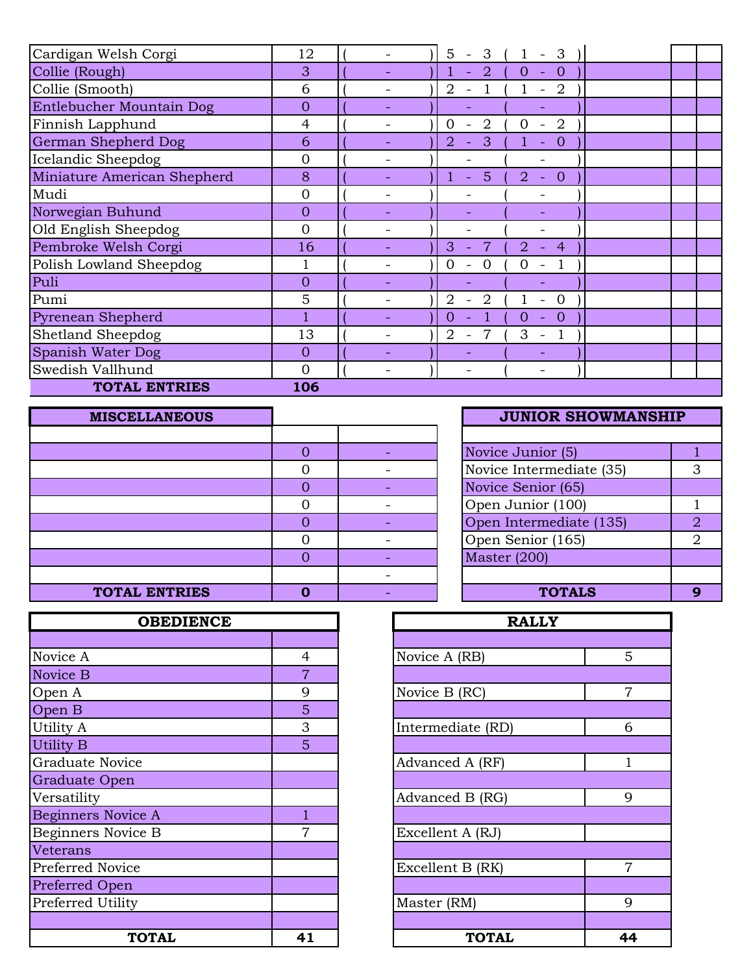| Cardigan Welsh Corgi        | 12             |  | 5<br>3<br>$\overline{\phantom{a}}$         | 3<br>$\overline{\phantom{a}}$              |  |  |
|-----------------------------|----------------|--|--------------------------------------------|--------------------------------------------|--|--|
| Collie (Rough)              | 3              |  | $\overline{2}$                             | $\overline{0}$<br>$\theta$<br>$\equiv$     |  |  |
| Collie (Smooth)             | 6              |  | $\overline{2}$<br>$\overline{\phantom{a}}$ | $\overline{2}$<br>$\overline{\phantom{a}}$ |  |  |
| Entlebucher Mountain Dog    | $\Omega$       |  |                                            |                                            |  |  |
| Finnish Lapphund            | 4              |  | 2<br>Ω                                     | 2<br>0                                     |  |  |
| German Shepherd Dog         | 6              |  | $\overline{2}$<br>3<br>$\equiv$            | $\overline{0}$<br>$\overline{\phantom{a}}$ |  |  |
| Icelandic Sheepdog          | $\Omega$       |  |                                            |                                            |  |  |
| Miniature American Shepherd | 8              |  | 5<br>÷.                                    | 2<br>$\overline{0}$<br>$\equiv$            |  |  |
| Mudi                        | $\Omega$       |  |                                            |                                            |  |  |
| Norwegian Buhund            | $\Omega$       |  |                                            |                                            |  |  |
| Old English Sheepdog        | $\overline{0}$ |  |                                            |                                            |  |  |
| Pembroke Welsh Corgi        | 16             |  | 3                                          | 2<br>$\overline{4}$                        |  |  |
| Polish Lowland Sheepdog     |                |  | ∩<br>0                                     |                                            |  |  |
| Puli                        | $\Omega$       |  |                                            |                                            |  |  |
| Pumi                        | 5              |  | 2<br>2                                     | $\Omega$                                   |  |  |
| <b>Pyrenean Shepherd</b>    |                |  | 0                                          | $\theta$<br>$\Omega$<br>$\blacksquare$     |  |  |
| Shetland Sheepdog           | 13             |  | $\overline{2}$                             | 3<br>$\overline{\phantom{a}}$              |  |  |
| Spanish Water Dog           | $\Omega$       |  |                                            |                                            |  |  |
| Swedish Vallhund            | $\Omega$       |  |                                            | $\overline{\phantom{0}}$                   |  |  |
| <b>TOTAL ENTRIES</b>        | 106            |  |                                            |                                            |  |  |

| <b>MISCELLANEOUS</b> |   | <b>JUNIOR SHOWMANSHIP</b>                 |
|----------------------|---|-------------------------------------------|
|                      |   |                                           |
|                      |   | Novice Junior (5)                         |
|                      |   | Novice Intermediate (35)<br>3             |
|                      |   | Novice Senior (65)                        |
|                      |   | Open Junior (100)                         |
|                      |   | Open Intermediate (135)<br>$\overline{2}$ |
|                      |   | Open Senior (165)<br>$\overline{2}$       |
|                      |   | Master (200)                              |
|                      |   |                                           |
| <b>TOTAL ENTRIES</b> | Ω | <b>TOTALS</b><br>9                        |

| <b>OBEDIENCE</b>          |                | <b>RALLY</b>      |                |
|---------------------------|----------------|-------------------|----------------|
|                           |                |                   |                |
| Novice A                  | 4              | Novice A (RB)     | 5              |
| Novice B                  | $\overline{7}$ |                   |                |
| Open A                    | 9              | Novice B (RC)     | $\overline{7}$ |
| Open B                    | 5              |                   |                |
| Utility A                 | 3              | Intermediate (RD) | 6              |
| <b>Utility B</b>          | 5              |                   |                |
| <b>Graduate Novice</b>    |                | Advanced A (RF)   | 1              |
| Graduate Open             |                |                   |                |
| Versatility               |                | Advanced B (RG)   | 9              |
| <b>Beginners Novice A</b> |                |                   |                |
| Beginners Novice B        | 7              | Excellent A (RJ)  |                |
| Veterans                  |                |                   |                |
| Preferred Novice          |                | Excellent B (RK)  | $\overline{7}$ |
| Preferred Open            |                |                   |                |
| Preferred Utility         |                | Master (RM)       | 9              |
|                           |                |                   |                |
| <b>TOTAL</b>              | 41             | <b>TOTAL</b>      | 4 <sub>4</sub> |

|                | <b>JUNIOR SHOWMANSHIP</b> |   |
|----------------|---------------------------|---|
|                |                           |   |
| 0              | Novice Junior (5)         |   |
| $\overline{0}$ | Novice Intermediate (35)  | З |
| $\overline{O}$ | Novice Senior (65)        |   |
| 0              | Open Junior (100)         |   |
| $\overline{0}$ | Open Intermediate (135)   | 2 |
| 0              | Open Senior (165)         | 2 |
| $\overline{O}$ | Master (200)              |   |
|                |                           |   |
|                | <b>TOTALS</b>             |   |

| <b>OBEDIENCE</b> |                | <b>RALLY</b>      |                |
|------------------|----------------|-------------------|----------------|
|                  |                |                   |                |
|                  | $\overline{4}$ | Novice A (RB)     | 5              |
|                  | $\overline{7}$ |                   |                |
|                  | 9              | Novice B (RC)     | $\overline{7}$ |
|                  | 5              |                   |                |
|                  | 3              | Intermediate (RD) | 6              |
|                  | 5              |                   |                |
| .ce              |                | Advanced A (RF)   | $\mathbf{1}$   |
| n                |                |                   |                |
|                  |                | Advanced B (RG)   | 9              |
| ice A            | 1              |                   |                |
| ice B            | $\overline{7}$ | Excellent A (RJ)  |                |
|                  |                |                   |                |
| ce               |                | Excellent B (RK)  | $\overline{7}$ |
| $\overline{1}$   |                |                   |                |
| ty               |                | Master (RM)       | 9              |
|                  |                |                   |                |
| <b>TOTAL</b>     | 41             | <b>TOTAL</b>      | 44             |